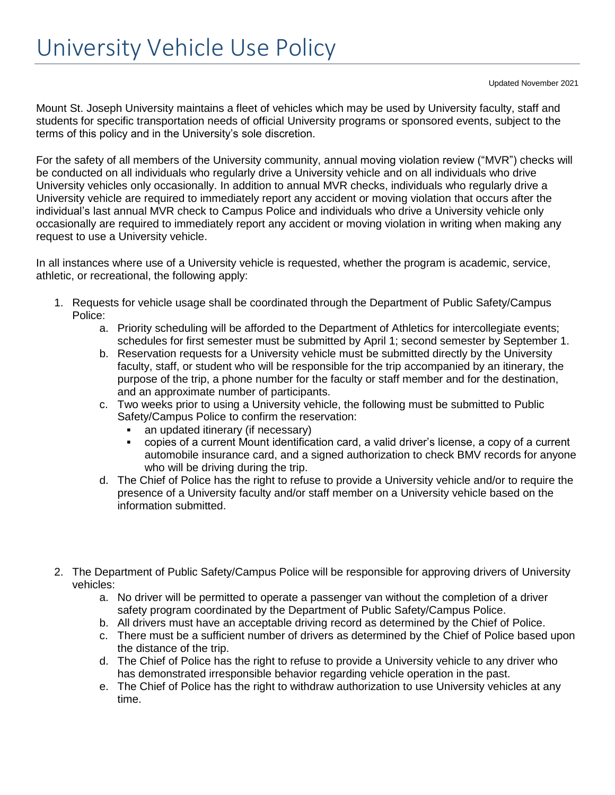Updated November 2021

Mount St. Joseph University maintains a fleet of vehicles which may be used by University faculty, staff and students for specific transportation needs of official University programs or sponsored events, subject to the terms of this policy and in the University's sole discretion.

For the safety of all members of the University community, annual moving violation review ("MVR") checks will be conducted on all individuals who regularly drive a University vehicle and on all individuals who drive University vehicles only occasionally. In addition to annual MVR checks, individuals who regularly drive a University vehicle are required to immediately report any accident or moving violation that occurs after the individual's last annual MVR check to Campus Police and individuals who drive a University vehicle only occasionally are required to immediately report any accident or moving violation in writing when making any request to use a University vehicle.

In all instances where use of a University vehicle is requested, whether the program is academic, service, athletic, or recreational, the following apply:

- 1. Requests for vehicle usage shall be coordinated through the Department of Public Safety/Campus Police:
	- a. Priority scheduling will be afforded to the Department of Athletics for intercollegiate events; schedules for first semester must be submitted by April 1; second semester by September 1.
	- b. Reservation requests for a University vehicle must be submitted directly by the University faculty, staff, or student who will be responsible for the trip accompanied by an itinerary, the purpose of the trip, a phone number for the faculty or staff member and for the destination, and an approximate number of participants.
	- c. Two weeks prior to using a University vehicle, the following must be submitted to Public Safety/Campus Police to confirm the reservation:
		- **•** an updated itinerary (if necessary)
		- copies of a current Mount identification card, a valid driver's license, a copy of a current automobile insurance card, and a signed authorization to check BMV records for anyone who will be driving during the trip.
	- d. The Chief of Police has the right to refuse to provide a University vehicle and/or to require the presence of a University faculty and/or staff member on a University vehicle based on the information submitted.
- 2. The Department of Public Safety/Campus Police will be responsible for approving drivers of University vehicles:
	- a. No driver will be permitted to operate a passenger van without the completion of a driver safety program coordinated by the Department of Public Safety/Campus Police.
	- b. All drivers must have an acceptable driving record as determined by the Chief of Police.
	- c. There must be a sufficient number of drivers as determined by the Chief of Police based upon the distance of the trip.
	- d. The Chief of Police has the right to refuse to provide a University vehicle to any driver who has demonstrated irresponsible behavior regarding vehicle operation in the past.
	- e. The Chief of Police has the right to withdraw authorization to use University vehicles at any time.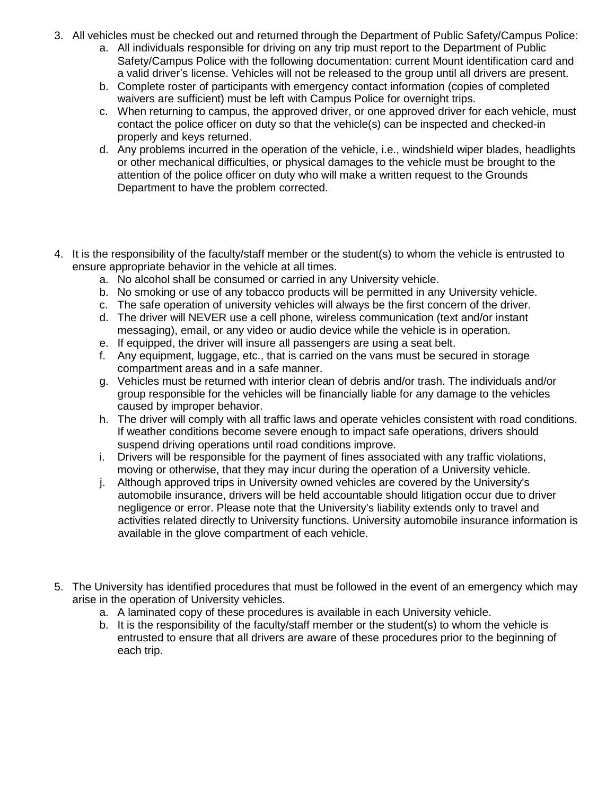- 3. All vehicles must be checked out and returned through the Department of Public Safety/Campus Police:
	- a. All individuals responsible for driving on any trip must report to the Department of Public Safety/Campus Police with the following documentation: current Mount identification card and a valid driver's license. Vehicles will not be released to the group until all drivers are present.
	- b. Complete roster of participants with emergency contact information (copies of completed waivers are sufficient) must be left with Campus Police for overnight trips.
	- c. When returning to campus, the approved driver, or one approved driver for each vehicle, must contact the police officer on duty so that the vehicle(s) can be inspected and checked-in properly and keys returned.
	- d. Any problems incurred in the operation of the vehicle, i.e., windshield wiper blades, headlights or other mechanical difficulties, or physical damages to the vehicle must be brought to the attention of the police officer on duty who will make a written request to the Grounds Department to have the problem corrected.
- 4. It is the responsibility of the faculty/staff member or the student(s) to whom the vehicle is entrusted to ensure appropriate behavior in the vehicle at all times.
	- a. No alcohol shall be consumed or carried in any University vehicle.
	- b. No smoking or use of any tobacco products will be permitted in any University vehicle.
	- c. The safe operation of university vehicles will always be the first concern of the driver.
	- d. The driver will NEVER use a cell phone, wireless communication (text and/or instant messaging), email, or any video or audio device while the vehicle is in operation.
	- e. If equipped, the driver will insure all passengers are using a seat belt.
	- f. Any equipment, luggage, etc., that is carried on the vans must be secured in storage compartment areas and in a safe manner.
	- g. Vehicles must be returned with interior clean of debris and/or trash. The individuals and/or group responsible for the vehicles will be financially liable for any damage to the vehicles caused by improper behavior.
	- h. The driver will comply with all traffic laws and operate vehicles consistent with road conditions. If weather conditions become severe enough to impact safe operations, drivers should suspend driving operations until road conditions improve.
	- i. Drivers will be responsible for the payment of fines associated with any traffic violations, moving or otherwise, that they may incur during the operation of a University vehicle.
	- j. Although approved trips in University owned vehicles are covered by the University's automobile insurance, drivers will be held accountable should litigation occur due to driver negligence or error. Please note that the University's liability extends only to travel and activities related directly to University functions. University automobile insurance information is available in the glove compartment of each vehicle.
- 5. The University has identified procedures that must be followed in the event of an emergency which may arise in the operation of University vehicles.
	- a. A laminated copy of these procedures is available in each University vehicle.
	- b. It is the responsibility of the faculty/staff member or the student(s) to whom the vehicle is entrusted to ensure that all drivers are aware of these procedures prior to the beginning of each trip.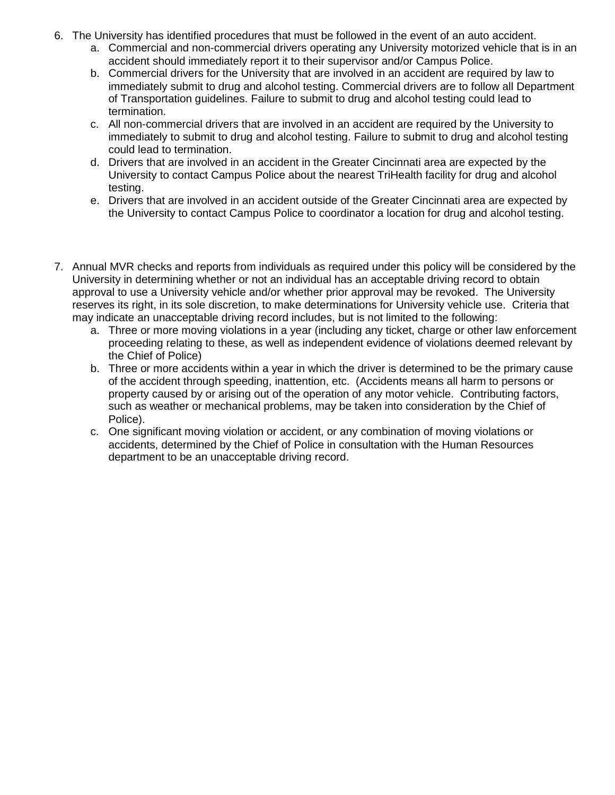- 6. The University has identified procedures that must be followed in the event of an auto accident.
	- a. Commercial and non-commercial drivers operating any University motorized vehicle that is in an accident should immediately report it to their supervisor and/or Campus Police.
	- b. Commercial drivers for the University that are involved in an accident are required by law to immediately submit to drug and alcohol testing. Commercial drivers are to follow all Department of Transportation guidelines. Failure to submit to drug and alcohol testing could lead to termination.
	- c. All non-commercial drivers that are involved in an accident are required by the University to immediately to submit to drug and alcohol testing. Failure to submit to drug and alcohol testing could lead to termination.
	- d. Drivers that are involved in an accident in the Greater Cincinnati area are expected by the University to contact Campus Police about the nearest TriHealth facility for drug and alcohol testing.
	- e. Drivers that are involved in an accident outside of the Greater Cincinnati area are expected by the University to contact Campus Police to coordinator a location for drug and alcohol testing.
- 7. Annual MVR checks and reports from individuals as required under this policy will be considered by the University in determining whether or not an individual has an acceptable driving record to obtain approval to use a University vehicle and/or whether prior approval may be revoked. The University reserves its right, in its sole discretion, to make determinations for University vehicle use. Criteria that may indicate an unacceptable driving record includes, but is not limited to the following:
	- a. Three or more moving violations in a year (including any ticket, charge or other law enforcement proceeding relating to these, as well as independent evidence of violations deemed relevant by the Chief of Police)
	- b. Three or more accidents within a year in which the driver is determined to be the primary cause of the accident through speeding, inattention, etc. (Accidents means all harm to persons or property caused by or arising out of the operation of any motor vehicle. Contributing factors, such as weather or mechanical problems, may be taken into consideration by the Chief of Police).
	- c. One significant moving violation or accident, or any combination of moving violations or accidents, determined by the Chief of Police in consultation with the Human Resources department to be an unacceptable driving record.